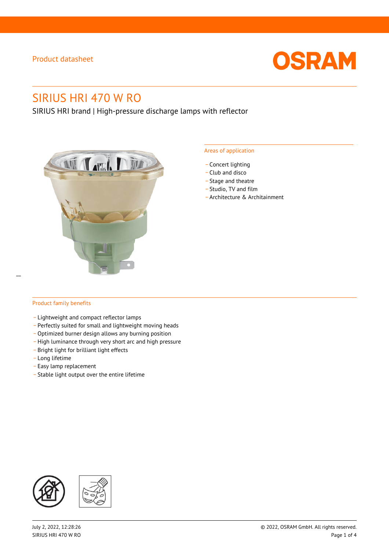

# SIRIUS HRI 470 W RO

SIRIUS HRI brand | High-pressure discharge lamps with reflector



#### Areas of application

- Concert lighting
- \_ Club and disco
- Stage and theatre
- \_ Studio, TV and film
- \_ Architecture & Architainment

#### Product family benefits

- \_ Lightweight and compact reflector lamps
- \_ Perfectly suited for small and lightweight moving heads
- Optimized burner design allows any burning position
- High luminance through very short arc and high pressure
- \_ Bright light for brilliant light effects
- \_ Long lifetime
- \_ Easy lamp replacement
- \_ Stable light output over the entire lifetime

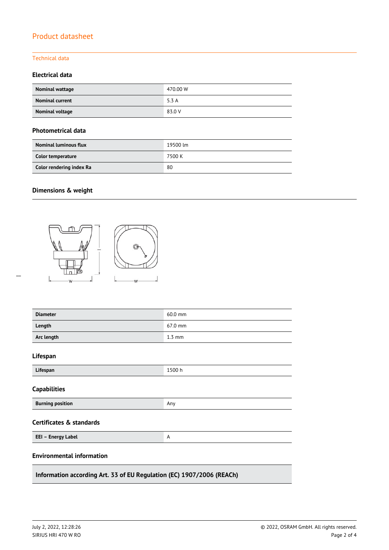#### Technical data

#### **Electrical data**

| Nominal wattage        | 470.00 W |
|------------------------|----------|
| <b>Nominal current</b> | 5.3 A    |
| Nominal voltage        | 83.0 V   |

#### **Photometrical data**

| <b>Nominal luminous flux</b> | 19500 lm |
|------------------------------|----------|
| Color temperature            | 7500 K   |
| Color rendering index Ra     | 80       |

### **Dimensions & weight**

 $\overline{a}$ 



| <b>Diameter</b>                                                       | 60.0 mm          |  |  |  |
|-----------------------------------------------------------------------|------------------|--|--|--|
| Length                                                                | 67.0 mm          |  |  |  |
| Arc length                                                            | $1.3 \text{ mm}$ |  |  |  |
| Lifespan                                                              |                  |  |  |  |
| Lifespan                                                              | 1500h            |  |  |  |
| <b>Capabilities</b>                                                   |                  |  |  |  |
| <b>Burning position</b>                                               | Any              |  |  |  |
| <b>Certificates &amp; standards</b>                                   |                  |  |  |  |
| EEI - Energy Label                                                    | A                |  |  |  |
| <b>Environmental information</b>                                      |                  |  |  |  |
| Information according Art. 33 of EU Regulation (EC) 1907/2006 (REACh) |                  |  |  |  |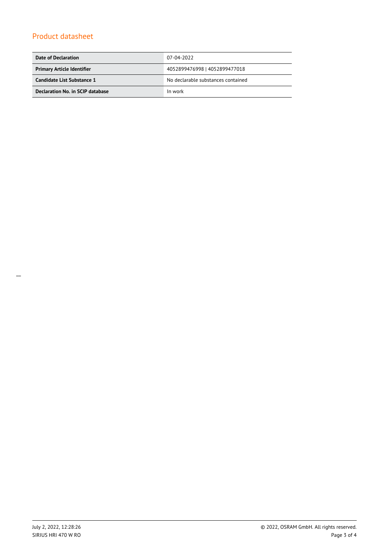| Date of Declaration               | 07-04-2022                         |  |
|-----------------------------------|------------------------------------|--|
| <b>Primary Article Identifier</b> | 4052899476998   4052899477018      |  |
| Candidate List Substance 1        | No declarable substances contained |  |
| Declaration No. in SCIP database  | In work                            |  |